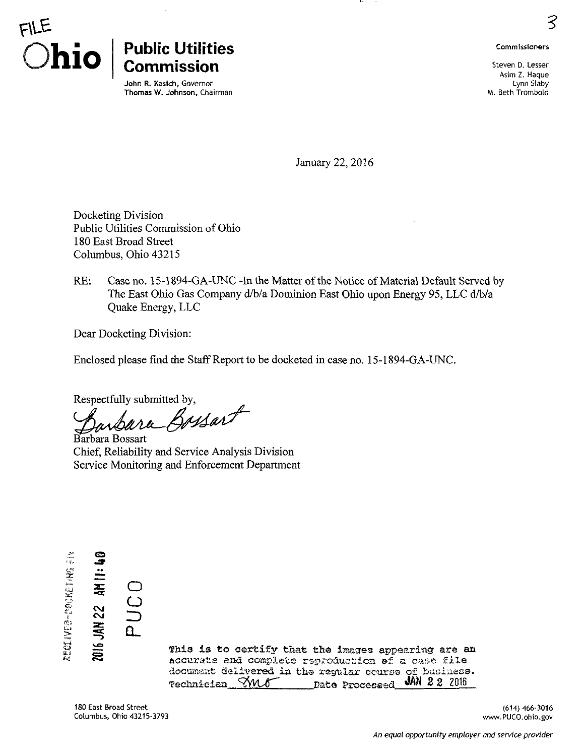

## Public Utilities and the commissioners of the commissioners **Commission**  $\sum_{\text{Asign }Z, \text{ Haque}}$

John R. Kasich, Governor Lynn Slaby Thomas W. Johnson, Chairman M. Beth Trombold

**Lynn Slaby** 

January 22, 2016

..

Docketing Division Public Utilities Commission of Ohio 180 East Broad Street Columbus, Ohio 43215

RE: Case no. i5-1894-GA-UNC -In the Matter of the Notice of Material Default Served by The East Ohio Gas Company d/b/a Dominion East Ohio upon Energy 95, LLC d/b/a Quake Energy, LLC

Dear Docketing Division:

Enclosed please find the Staff Report to be docketed in case no. 15-1894-GA-UNC.

Respectfully submitted by,<br>Barbara Bossart

Barbara Bossart Chief, Reliability and Service Analysis Division Service Monitoring and Enforcement Department



This is to certify that the images appearing are an accurate and complete rsproduction of a case file document delivered in the regular course of business. Technician  $\frac{\sqrt{M}}{\sqrt{M}}$  Date Processed JAN 2 2 2016

180 East Broad Street (614) 466-3016 Columbus, Ohio 43215-3793 [www.PUCO.ohio.gov](http://www.PUCO.ohio.gov) 

O

 $\Omega_{-}$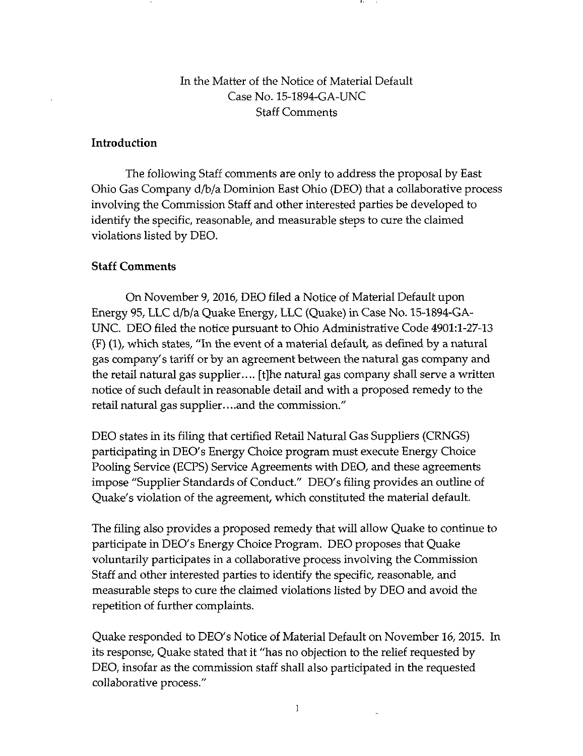## In the Matter of the Notice of Material Default Case No. 15-1894-GA-UNC Staff Comments

## Introduction

The following Staff comments are only to address the proposal by East Ohio Gas Company d/b/a Dominion East Ohio (DEO) that a collaborative process involving the Commission Staff and other interested parties be developed to identify the specific, reasonable, and measurable steps to cure the claimed violations listed by DEO.

## Staff Comments

On November 9, 2016, DEO filed a Notice of Material Default upon Energy 95, LLC d/b/a Quake Energy, LLC (Quake) in Case No. 15-1894-GA-UNC. DEO filed the notice pursuant to Ohio Administrative Code 4901:1-27-13 (F) (1), which states, "In the event of a material default, as defined by a natural gas company's tariff or by an agreement between the natural gas company and the retail natural gas supplier.... [t]he natural gas company shall serve a written notice of such default in reasonable detail and with a proposed remedy to the retail natural gas supplier.. ..and the commission."

DEO states in its filing that certified Retail Natural Gas Suppliers (CRNGS) participating in DEO's Energy Choice program must execute Energy Choice Pooling Service (ECPS) Service Agreements with DEO, and these agreements impose "Supplier Standards of Conduct." DEO's filing provides an outline of Quake's violation of the agreement, which constituted the material default.

The filing also provides a proposed remedy that will allow Quake to continue to participate in DEO's Energy Choice Program. DEO proposes that Quake voluntarily participates in a collaborative process involving the Commission Staff and other interested parties to identify the specific, reasonable, and measurable steps to cure the claimed violations listed by DEO and avoid the repetition of further complaints.

Quake responded to DEO's Notice of Material Default on November 16, 2015. In its response. Quake stated that it "has no objection to the relief requested by DEO, insofar as the commission staff shall also participated in the requested collaborative process."

 $\ddot{\phantom{a}}$